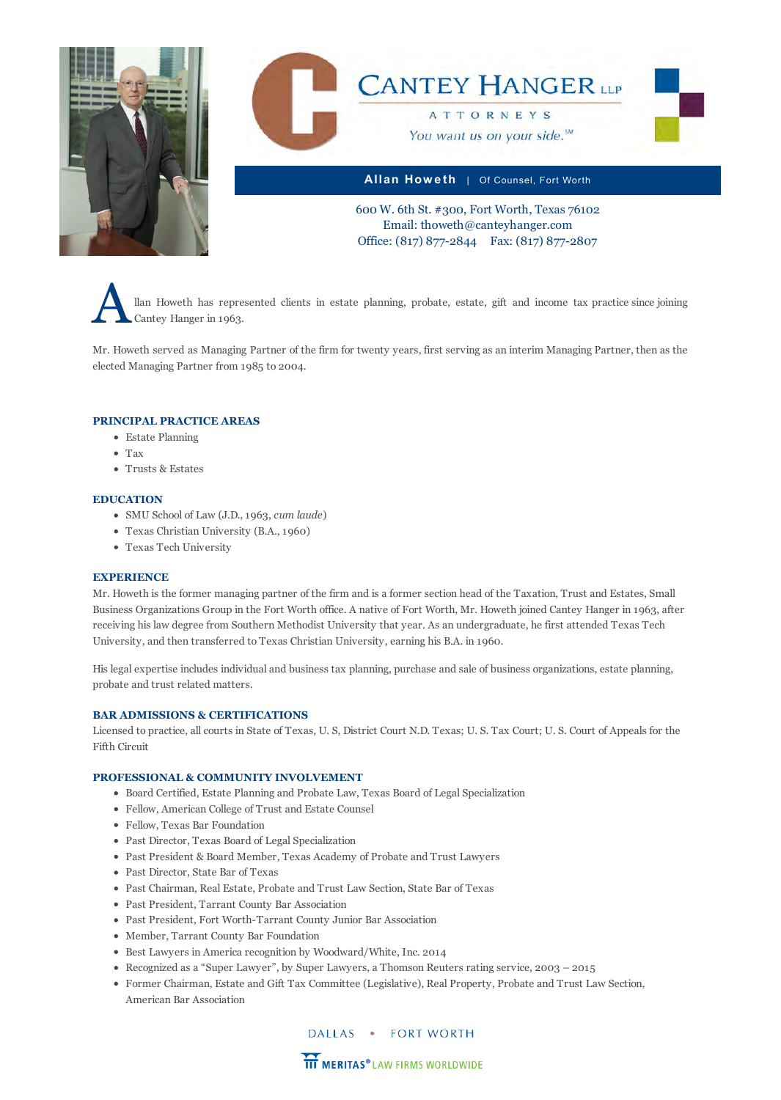



**Allan How e th** | Of Counsel, Fort Worth

600 W. 6th St. #300, Fort Worth, Texas 76102 Email: thoweth@canteyhanger.com Office: (817) 877-2844 Fax: (817) 877-2807

Allan Howeth has represented clients in estate planning, probate, estate, gift and income tax practice since joining Cantey Hanger in 1963.

Mr. Howeth served as Managing Partner of the firm for twenty years, first serving as an interim Managing Partner, then as the elected Managing Partner from 1985 to 2004.

### **PRINCIPAL PRACTICE AREAS**

- [Estate Planning](http://www.canteyhanger.com/practice-areas/estate-planning/)
- [Tax](http://www.canteyhanger.com/practice-areas/tax/)
- [Trusts & Estates](http://www.canteyhanger.com/practice-areas/trusts-estates/)

### **EDUCATION**

- SMU School of Law (J.D., 1963, *cum laude*)
- Texas Christian University (B.A., 1960)
- Texas Tech University

### **EXPERIENCE**

Mr. Howeth is the former managing partner of the firm and is a former section head of the Taxation, Trust and Estates, Small Business Organizations Group in the Fort Worth office. A native of Fort Worth, Mr. Howeth joined Cantey Hanger in 1963, after receiving his law degree from Southern Methodist University that year. As an undergraduate, he first attended Texas Tech University, and then transferred to Texas Christian University, earning his B.A. in 1960.

His legal expertise includes individual and business tax planning, purchase and sale of business organizations, estate planning, probate and trust related matters.

### **BAR ADMISSIONS & CERTIFICATIONS**

Licensed to practice, all courts in State of Texas, U. S, District Court N.D. Texas; U. S. Tax Court; U. S. Court of Appeals for the Fifth Circuit

### **PROFESSIONAL & COMMUNITY INVOLVEMENT**

- Board Certified, Estate Planning and Probate Law, Texas Board of Legal Specialization
- Fellow, American College of Trust and Estate Counsel
- Fellow, Texas Bar Foundation
- Past Director, Texas Board of Legal Specialization
- Past President & Board Member, Texas Academy of Probate and Trust Lawyers
- Past Director, State Bar of Texas
- Past Chairman, Real Estate, Probate and Trust Law Section, State Bar of Texas
- Past President, Tarrant County Bar Association
- Past President, Fort Worth-Tarrant County Junior Bar Association
- Member, Tarrant County Bar Foundation
- Best Lawyers in America recognition by Woodward/White, Inc. 2014
- Recognized as a "Super Lawyer", by Super Lawyers, a Thomson Reuters rating service, 2003 2015
- Former Chairman, Estate and Gift Tax Committee (Legislative), Real Property, Probate and Trust Law Section, American Bar Association